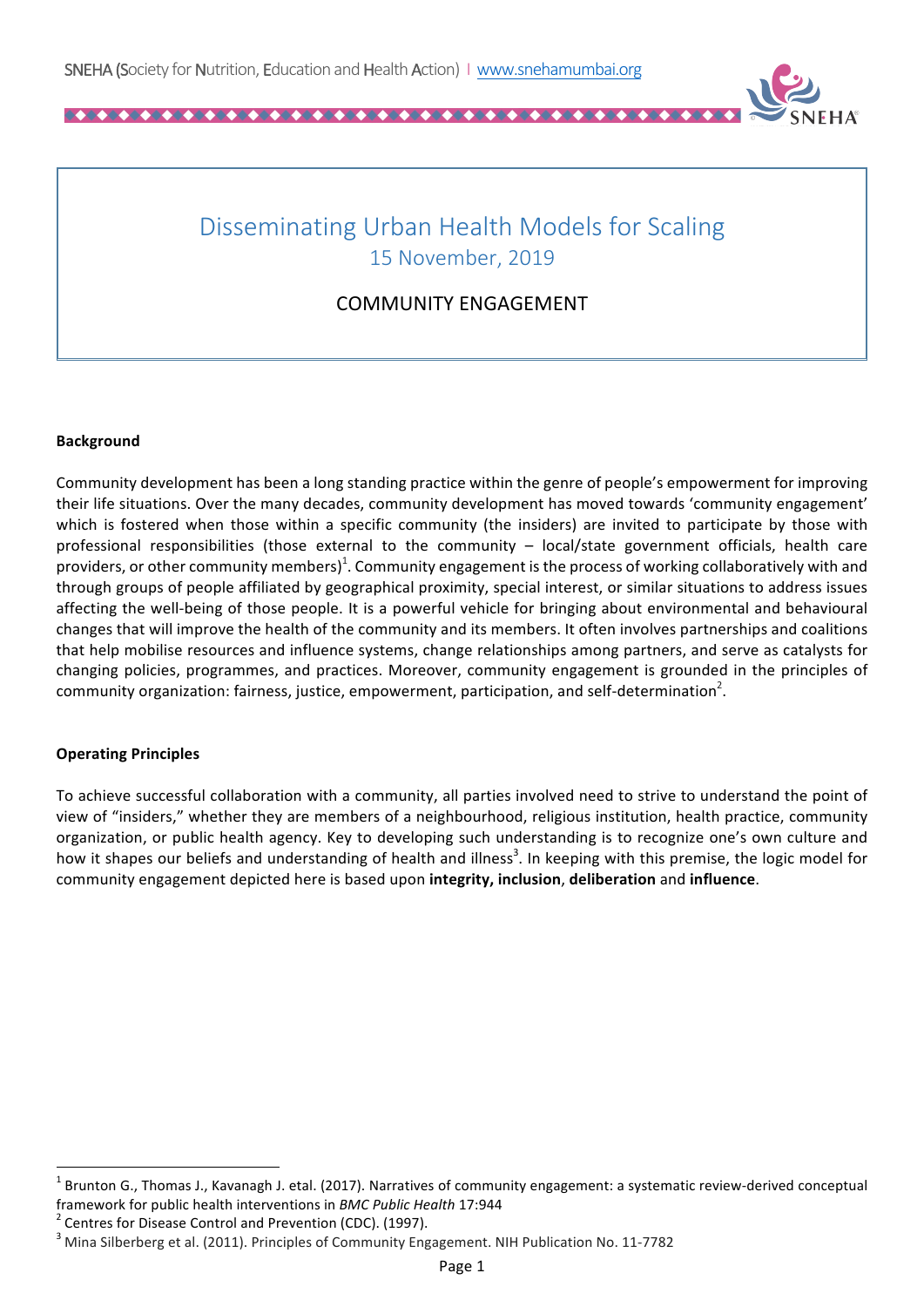

# Disseminating Urban Health Models for Scaling 15 November, 2019

# COMMUNITY ENGAGEMENT

#### **Background**

Community development has been a long standing practice within the genre of people's empowerment for improving their life situations. Over the many decades, community development has moved towards 'community engagement' which is fostered when those within a specific community (the insiders) are invited to participate by those with professional responsibilities (those external to the community  $-$  local/state government officials, health care providers, or other community members)<sup>1</sup>. Community engagement is the process of working collaboratively with and through groups of people affiliated by geographical proximity, special interest, or similar situations to address issues affecting the well-being of those people. It is a powerful vehicle for bringing about environmental and behavioural changes that will improve the health of the community and its members. It often involves partnerships and coalitions that help mobilise resources and influence systems, change relationships among partners, and serve as catalysts for changing policies, programmes, and practices. Moreover, community engagement is grounded in the principles of community organization: fairness, justice, empowerment, participation, and self-determination<sup>2</sup>.

## **Operating Principles**

To achieve successful collaboration with a community, all parties involved need to strive to understand the point of view of "insiders," whether they are members of a neighbourhood, religious institution, health practice, community organization, or public health agency. Key to developing such understanding is to recognize one's own culture and how it shapes our beliefs and understanding of health and illness<sup>3</sup>. In keeping with this premise, the logic model for community engagement depicted here is based upon **integrity, inclusion**, **deliberation** and **influence**.

<u> 1989 - Johann Barn, mars ann an t-Amhain an t-Amhain an t-Amhain an t-Amhain an t-Amhain an t-Amhain an t-Amh</u>

Brunton G., Thomas J., Kavanagh J. etal. (2017). Narratives of community engagement: a systematic review-derived conceptual framework for public health interventions in *BMC Public Health* 17:944 <sup>2</sup> Centres for Disease Control and Prevention (CDC). (1997).

 $3$  Mina Silberberg et al. (2011). Principles of Community Engagement. NIH Publication No. 11-7782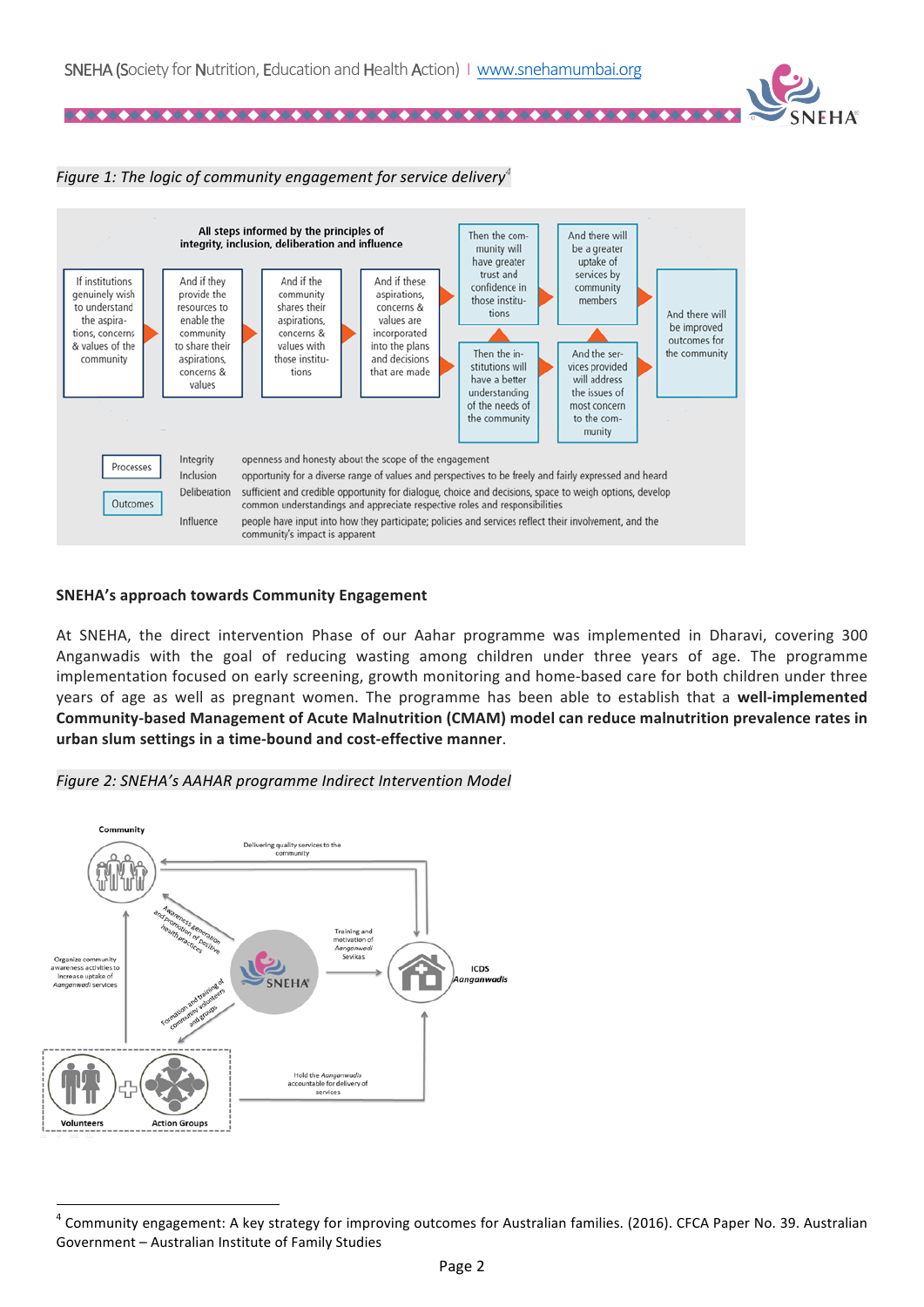4040404

### *Figure 1:* The logic of community engagement for service delivery<sup>4</sup>



#### **SNEHA's approach towards Community Engagement**

At SNEHA, the direct intervention Phase of our Aahar programme was implemented in Dharavi, covering 300 Anganwadis with the goal of reducing wasting among children under three years of age. The programme implementation focused on early screening, growth monitoring and home-based care for both children under three years of age as well as pregnant women. The programme has been able to establish that a well-implemented Community-based Management of Acute Malnutrition (CMAM) model can reduce malnutrition prevalence rates in **urban slum settings in a time-bound and cost-effective manner**. 





<u> 1989 - Johann Barn, mars ann an t-Amhain an t-Amhain an t-Amhain an t-Amhain an t-Amhain an t-Amhain an t-Amh</u>

Community engagement: A key strategy for improving outcomes for Australian families. (2016). CFCA Paper No. 39. Australian Government - Australian Institute of Family Studies